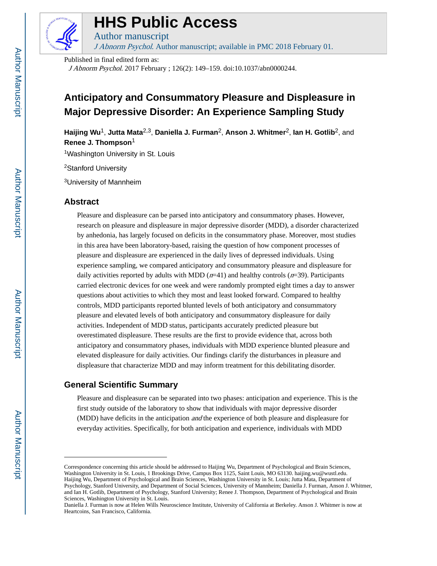

# **HHS Public Access**

J Abnorm Psychol. Author manuscript; available in PMC 2018 February 01.

Published in final edited form as:

Author manuscript

J Abnorm Psychol. 2017 February ; 126(2): 149–159. doi:10.1037/abn0000244.

## **Anticipatory and Consummatory Pleasure and Displeasure in Major Depressive Disorder: An Experience Sampling Study**

**Haijing Wu**1, **Jutta Mata**2,3, **Daniella J. Furman**2, **Anson J. Whitmer**2, **Ian H. Gotlib**2, and **Renee J. Thompson**<sup>1</sup>

<sup>1</sup>Washington University in St. Louis

<sup>2</sup>Stanford University

<sup>3</sup>University of Mannheim

## **Abstract**

Pleasure and displeasure can be parsed into anticipatory and consummatory phases. However, research on pleasure and displeasure in major depressive disorder (MDD), a disorder characterized by anhedonia, has largely focused on deficits in the consummatory phase. Moreover, most studies in this area have been laboratory-based, raising the question of how component processes of pleasure and displeasure are experienced in the daily lives of depressed individuals. Using experience sampling, we compared anticipatory and consummatory pleasure and displeasure for daily activities reported by adults with MDD ( $n=41$ ) and healthy controls ( $n=39$ ). Participants carried electronic devices for one week and were randomly prompted eight times a day to answer questions about activities to which they most and least looked forward. Compared to healthy controls, MDD participants reported blunted levels of both anticipatory and consummatory pleasure and elevated levels of both anticipatory and consummatory displeasure for daily activities. Independent of MDD status, participants accurately predicted pleasure but overestimated displeasure. These results are the first to provide evidence that, across both anticipatory and consummatory phases, individuals with MDD experience blunted pleasure and elevated displeasure for daily activities. Our findings clarify the disturbances in pleasure and displeasure that characterize MDD and may inform treatment for this debilitating disorder.

## **General Scientific Summary**

Pleasure and displeasure can be separated into two phases: anticipation and experience. This is the first study outside of the laboratory to show that individuals with major depressive disorder (MDD) have deficits in the anticipation *and* the experience of both pleasure and displeasure for everyday activities. Specifically, for both anticipation and experience, individuals with MDD

Correspondence concerning this article should be addressed to Haijing Wu, Department of Psychological and Brain Sciences, Washington University in St. Louis, 1 Brookings Drive, Campus Box 1125, Saint Louis, MO 63130. haijing.wu@wustl.edu. Haijing Wu, Department of Psychological and Brain Sciences, Washington University in St. Louis; Jutta Mata, Department of Psychology, Stanford University, and Department of Social Sciences, University of Mannheim; Daniella J. Furman, Anson J. Whitmer, and Ian H. Gotlib, Department of Psychology, Stanford University; Renee J. Thompson, Department of Psychological and Brain Sciences, Washington University in St. Louis.

Daniella J. Furman is now at Helen Wills Neuroscience Institute, University of California at Berkeley. Anson J. Whitmer is now at Heartcoins, San Francisco, California.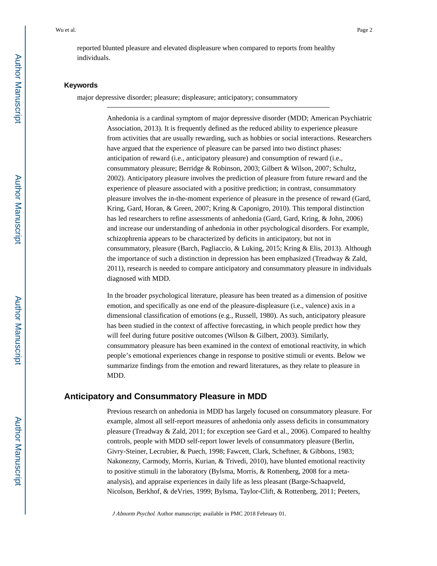reported blunted pleasure and elevated displeasure when compared to reports from healthy individuals.

#### **Keywords**

major depressive disorder; pleasure; displeasure; anticipatory; consummatory

Anhedonia is a cardinal symptom of major depressive disorder (MDD; American Psychiatric Association, 2013). It is frequently defined as the reduced ability to experience pleasure from activities that are usually rewarding, such as hobbies or social interactions. Researchers have argued that the experience of pleasure can be parsed into two distinct phases: anticipation of reward (i.e., anticipatory pleasure) and consumption of reward (i.e., consummatory pleasure; Berridge & Robinson, 2003; Gilbert & Wilson, 2007; Schultz, 2002). Anticipatory pleasure involves the prediction of pleasure from future reward and the experience of pleasure associated with a positive prediction; in contrast, consummatory pleasure involves the in-the-moment experience of pleasure in the presence of reward (Gard, Kring, Gard, Horan, & Green, 2007; Kring & Caponigro, 2010). This temporal distinction has led researchers to refine assessments of anhedonia (Gard, Gard, Kring, & John, 2006) and increase our understanding of anhedonia in other psychological disorders. For example, schizophrenia appears to be characterized by deficits in anticipatory, but not in consummatory, pleasure (Barch, Pagliaccio, & Luking, 2015; Kring & Elis, 2013). Although the importance of such a distinction in depression has been emphasized (Treadway & Zald, 2011), research is needed to compare anticipatory and consummatory pleasure in individuals diagnosed with MDD.

In the broader psychological literature, pleasure has been treated as a dimension of positive emotion, and specifically as one end of the pleasure-displeasure (i.e., valence) axis in a dimensional classification of emotions (e.g., Russell, 1980). As such, anticipatory pleasure has been studied in the context of affective forecasting, in which people predict how they will feel during future positive outcomes (Wilson & Gilbert, 2003). Similarly, consummatory pleasure has been examined in the context of emotional reactivity, in which people's emotional experiences change in response to positive stimuli or events. Below we summarize findings from the emotion and reward literatures, as they relate to pleasure in MDD.

## **Anticipatory and Consummatory Pleasure in MDD**

Previous research on anhedonia in MDD has largely focused on consummatory pleasure. For example, almost all self-report measures of anhedonia only assess deficits in consummatory pleasure (Treadway & Zald, 2011; for exception see Gard et al., 2006). Compared to healthy controls, people with MDD self-report lower levels of consummatory pleasure (Berlin, Givry-Steiner, Lecrubier, & Puech, 1998; Fawcett, Clark, Scheftner, & Gibbons, 1983; Nakonezny, Carmody, Morris, Kurian, & Trivedi, 2010), have blunted emotional reactivity to positive stimuli in the laboratory (Bylsma, Morris, & Rottenberg, 2008 for a metaanalysis), and appraise experiences in daily life as less pleasant (Barge-Schaapveld, Nicolson, Berkhof, & deVries, 1999; Bylsma, Taylor-Clift, & Rottenberg, 2011; Peeters,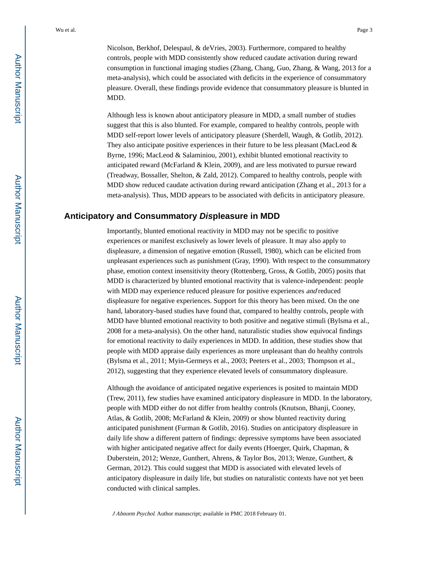Nicolson, Berkhof, Delespaul, & deVries, 2003). Furthermore, compared to healthy controls, people with MDD consistently show reduced caudate activation during reward consumption in functional imaging studies (Zhang, Chang, Guo, Zhang, & Wang, 2013 for a meta-analysis), which could be associated with deficits in the experience of consummatory pleasure. Overall, these findings provide evidence that consummatory pleasure is blunted in MDD.

Although less is known about anticipatory pleasure in MDD, a small number of studies suggest that this is also blunted. For example, compared to healthy controls, people with MDD self-report lower levels of anticipatory pleasure (Sherdell, Waugh, & Gotlib, 2012). They also anticipate positive experiences in their future to be less pleasant (MacLeod  $\&$ Byrne, 1996; MacLeod & Salaminiou, 2001), exhibit blunted emotional reactivity to anticipated reward (McFarland & Klein, 2009), and are less motivated to pursue reward (Treadway, Bossaller, Shelton, & Zald, 2012). Compared to healthy controls, people with MDD show reduced caudate activation during reward anticipation (Zhang et al., 2013 for a meta-analysis). Thus, MDD appears to be associated with deficits in anticipatory pleasure.

## **Anticipatory and Consummatory Displeasure in MDD**

Importantly, blunted emotional reactivity in MDD may not be specific to positive experiences or manifest exclusively as lower levels of pleasure. It may also apply to displeasure, a dimension of negative emotion (Russell, 1980), which can be elicited from unpleasant experiences such as punishment (Gray, 1990). With respect to the consummatory phase, emotion context insensitivity theory (Rottenberg, Gross, & Gotlib, 2005) posits that MDD is characterized by blunted emotional reactivity that is valence-independent: people with MDD may experience reduced pleasure for positive experiences and reduced displeasure for negative experiences. Support for this theory has been mixed. On the one hand, laboratory-based studies have found that, compared to healthy controls, people with MDD have blunted emotional reactivity to both positive and negative stimuli (Bylsma et al., 2008 for a meta-analysis). On the other hand, naturalistic studies show equivocal findings for emotional reactivity to daily experiences in MDD. In addition, these studies show that people with MDD appraise daily experiences as more unpleasant than do healthy controls (Bylsma et al., 2011; Myin-Germeys et al., 2003; Peeters et al., 2003; Thompson et al., 2012), suggesting that they experience elevated levels of consummatory displeasure.

Although the avoidance of anticipated negative experiences is posited to maintain MDD (Trew, 2011), few studies have examined anticipatory displeasure in MDD. In the laboratory, people with MDD either do not differ from healthy controls (Knutson, Bhanji, Cooney, Atlas, & Gotlib, 2008; McFarland & Klein, 2009) or show blunted reactivity during anticipated punishment (Furman & Gotlib, 2016). Studies on anticipatory displeasure in daily life show a different pattern of findings: depressive symptoms have been associated with higher anticipated negative affect for daily events (Hoerger, Quirk, Chapman, & Duberstein, 2012; Wenze, Gunthert, Ahrens, & Taylor Bos, 2013; Wenze, Gunthert, & German, 2012). This could suggest that MDD is associated with elevated levels of anticipatory displeasure in daily life, but studies on naturalistic contexts have not yet been conducted with clinical samples.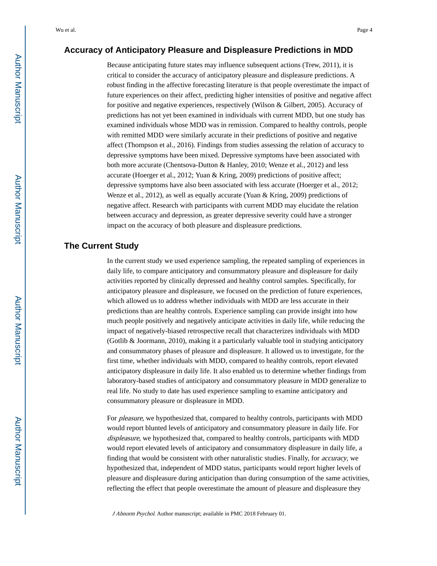## **Accuracy of Anticipatory Pleasure and Displeasure Predictions in MDD**

Because anticipating future states may influence subsequent actions (Trew, 2011), it is critical to consider the accuracy of anticipatory pleasure and displeasure predictions. A robust finding in the affective forecasting literature is that people overestimate the impact of future experiences on their affect, predicting higher intensities of positive and negative affect for positive and negative experiences, respectively (Wilson & Gilbert, 2005). Accuracy of predictions has not yet been examined in individuals with current MDD, but one study has examined individuals whose MDD was in remission. Compared to healthy controls, people with remitted MDD were similarly accurate in their predictions of positive and negative affect (Thompson et al., 2016). Findings from studies assessing the relation of accuracy to depressive symptoms have been mixed. Depressive symptoms have been associated with both more accurate (Chentsova-Dutton & Hanley, 2010; Wenze et al., 2012) and less accurate (Hoerger et al., 2012; Yuan & Kring, 2009) predictions of positive affect; depressive symptoms have also been associated with less accurate (Hoerger et al., 2012; Wenze et al., 2012), as well as equally accurate (Yuan & Kring, 2009) predictions of negative affect. Research with participants with current MDD may elucidate the relation between accuracy and depression, as greater depressive severity could have a stronger impact on the accuracy of both pleasure and displeasure predictions.

## **The Current Study**

In the current study we used experience sampling, the repeated sampling of experiences in daily life, to compare anticipatory and consummatory pleasure and displeasure for daily activities reported by clinically depressed and healthy control samples. Specifically, for anticipatory pleasure and displeasure, we focused on the prediction of future experiences, which allowed us to address whether individuals with MDD are less accurate in their predictions than are healthy controls. Experience sampling can provide insight into how much people positively and negatively anticipate activities in daily life, while reducing the impact of negatively-biased retrospective recall that characterizes individuals with MDD (Gotlib & Joormann, 2010), making it a particularly valuable tool in studying anticipatory and consummatory phases of pleasure and displeasure. It allowed us to investigate, for the first time, whether individuals with MDD, compared to healthy controls, report elevated anticipatory displeasure in daily life. It also enabled us to determine whether findings from laboratory-based studies of anticipatory and consummatory pleasure in MDD generalize to real life. No study to date has used experience sampling to examine anticipatory and consummatory pleasure or displeasure in MDD.

For pleasure, we hypothesized that, compared to healthy controls, participants with MDD would report blunted levels of anticipatory and consummatory pleasure in daily life. For displeasure, we hypothesized that, compared to healthy controls, participants with MDD would report elevated levels of anticipatory and consummatory displeasure in daily life, a finding that would be consistent with other naturalistic studies. Finally, for *accuracy*, we hypothesized that, independent of MDD status, participants would report higher levels of pleasure and displeasure during anticipation than during consumption of the same activities, reflecting the effect that people overestimate the amount of pleasure and displeasure they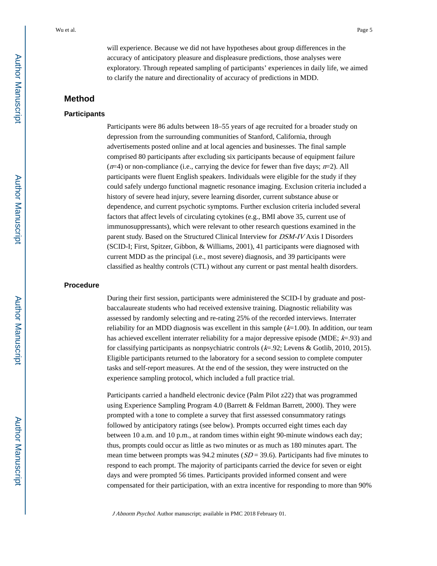will experience. Because we did not have hypotheses about group differences in the accuracy of anticipatory pleasure and displeasure predictions, those analyses were exploratory. Through repeated sampling of participants' experiences in daily life, we aimed to clarify the nature and directionality of accuracy of predictions in MDD.

## **Method**

## **Participants**

Participants were 86 adults between 18–55 years of age recruited for a broader study on depression from the surrounding communities of Stanford, California, through advertisements posted online and at local agencies and businesses. The final sample comprised 80 participants after excluding six participants because of equipment failure  $(n=4)$  or non-compliance (i.e., carrying the device for fewer than five days;  $n=2$ ). All participants were fluent English speakers. Individuals were eligible for the study if they could safely undergo functional magnetic resonance imaging. Exclusion criteria included a history of severe head injury, severe learning disorder, current substance abuse or dependence, and current psychotic symptoms. Further exclusion criteria included several factors that affect levels of circulating cytokines (e.g., BMI above 35, current use of immunosuppressants), which were relevant to other research questions examined in the parent study. Based on the Structured Clinical Interview for DSM-IV Axis I Disorders (SCID-I; First, Spitzer, Gibbon, & Williams, 2001), 41 participants were diagnosed with current MDD as the principal (i.e., most severe) diagnosis, and 39 participants were classified as healthy controls (CTL) without any current or past mental health disorders.

## **Procedure**

During their first session, participants were administered the SCID-I by graduate and postbaccalaureate students who had received extensive training. Diagnostic reliability was assessed by randomly selecting and re-rating 25% of the recorded interviews. Interrater reliability for an MDD diagnosis was excellent in this sample  $(k=1.00)$ . In addition, our team has achieved excellent interrater reliability for a major depressive episode (MDE;  $k=93$ ) and for classifying participants as nonpsychiatric controls  $(k=92;$  Levens & Gotlib, 2010, 2015). Eligible participants returned to the laboratory for a second session to complete computer tasks and self-report measures. At the end of the session, they were instructed on the experience sampling protocol, which included a full practice trial.

Participants carried a handheld electronic device (Palm Pilot z22) that was programmed using Experience Sampling Program 4.0 (Barrett & Feldman Barrett, 2000). They were prompted with a tone to complete a survey that first assessed consummatory ratings followed by anticipatory ratings (see below). Prompts occurred eight times each day between 10 a.m. and 10 p.m., at random times within eight 90-minute windows each day; thus, prompts could occur as little as two minutes or as much as 180 minutes apart. The mean time between prompts was 94.2 minutes ( $SD = 39.6$ ). Participants had five minutes to respond to each prompt. The majority of participants carried the device for seven or eight days and were prompted 56 times. Participants provided informed consent and were compensated for their participation, with an extra incentive for responding to more than 90%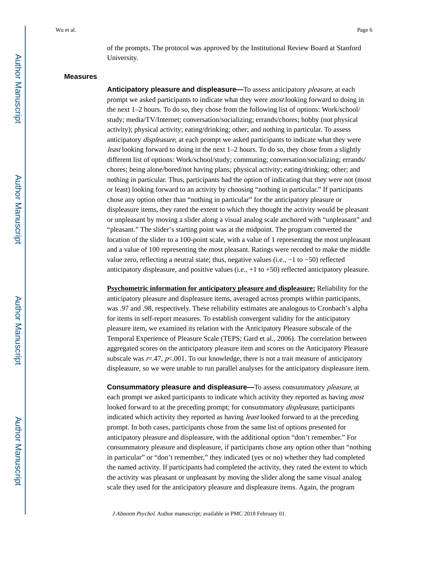of the prompts. The protocol was approved by the Institutional Review Board at Stanford University.

#### **Measures**

**Anticipatory pleasure and displeasure—**To assess anticipatory pleasure, at each prompt we asked participants to indicate what they were most looking forward to doing in the next 1–2 hours. To do so, they chose from the following list of options: Work/school/ study; media/TV/Internet; conversation/socializing; errands/chores; hobby (not physical activity); physical activity; eating/drinking; other; and nothing in particular. To assess anticipatory displeasure, at each prompt we asked participants to indicate what they were least looking forward to doing in the next 1-2 hours. To do so, they chose from a slightly different list of options: Work/school/study; commuting; conversation/socializing; errands/ chores; being alone/bored/not having plans; physical activity; eating/drinking; other; and nothing in particular. Thus, participants had the option of indicating that they were not (most or least) looking forward to an activity by choosing "nothing in particular." If participants chose any option other than "nothing in particular" for the anticipatory pleasure or displeasure items, they rated the extent to which they thought the activity would be pleasant or unpleasant by moving a slider along a visual analog scale anchored with "unpleasant" and "pleasant." The slider's starting point was at the midpoint. The program converted the location of the slider to a 100-point scale, with a value of 1 representing the most unpleasant and a value of 100 representing the most pleasant. Ratings were recoded to make the middle value zero, reflecting a neutral state; thus, negative values (i.e., −1 to −50) reflected anticipatory displeasure, and positive values (i.e.,  $+1$  to  $+50$ ) reflected anticipatory pleasure.

**Psychometric information for anticipatory pleasure and displeasure:** Reliability for the anticipatory pleasure and displeasure items, averaged across prompts within participants, was .97 and .98, respectively. These reliability estimates are analogous to Cronbach's alpha for items in self-report measures. To establish convergent validity for the anticipatory pleasure item, we examined its relation with the Anticipatory Pleasure subscale of the Temporal Experience of Pleasure Scale (TEPS; Gard et al., 2006). The correlation between aggregated scores on the anticipatory pleasure item and scores on the Anticipatory Pleasure subscale was  $r=47$ ,  $p<0.001$ . To our knowledge, there is not a trait measure of anticipatory displeasure, so we were unable to run parallel analyses for the anticipatory displeasure item.

**Consummatory pleasure and displeasure—To assess consummatory** *pleasure***, at** each prompt we asked participants to indicate which activity they reported as having most looked forward to at the preceding prompt; for consummatory *displeasure*, participants indicated which activity they reported as having *least* looked forward to at the preceding prompt. In both cases, participants chose from the same list of options presented for anticipatory pleasure and displeasure, with the additional option "don't remember." For consummatory pleasure and displeasure, if participants chose any option other than "nothing in particular" or "don't remember," they indicated (yes or no) whether they had completed the named activity. If participants had completed the activity, they rated the extent to which the activity was pleasant or unpleasant by moving the slider along the same visual analog scale they used for the anticipatory pleasure and displeasure items. Again, the program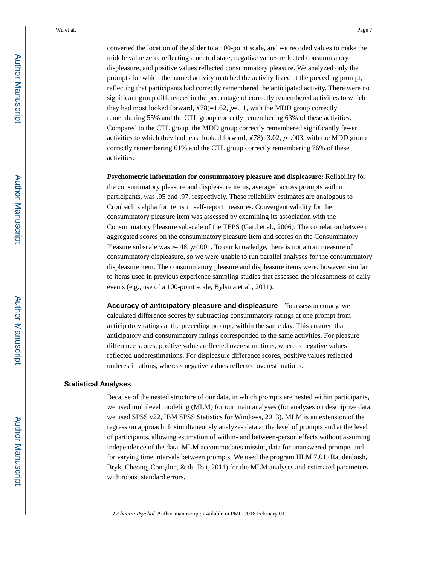converted the location of the slider to a 100-point scale, and we recoded values to make the middle value zero, reflecting a neutral state; negative values reflected consummatory displeasure, and positive values reflected consummatory pleasure. We analyzed only the prompts for which the named activity matched the activity listed at the preceding prompt, reflecting that participants had correctly remembered the anticipated activity. There were no significant group differences in the percentage of correctly remembered activities to which they had most looked forward,  $t(78)=1.62$ ,  $p=11$ , with the MDD group correctly remembering 55% and the CTL group correctly remembering 63% of these activities. Compared to the CTL group, the MDD group correctly remembered significantly fewer activities to which they had least looked forward,  $t(78)=3.02$ ,  $p=.003$ , with the MDD group correctly remembering 61% and the CTL group correctly remembering 76% of these activities.

**Psychometric information for consummatory pleasure and displeasure:** Reliability for the consummatory pleasure and displeasure items, averaged across prompts within participants, was .95 and .97, respectively. These reliability estimates are analogous to Cronbach's alpha for items in self-report measures. Convergent validity for the consummatory pleasure item was assessed by examining its association with the Consummatory Pleasure subscale of the TEPS (Gard et al., 2006). The correlation between aggregated scores on the consummatory pleasure item and scores on the Consummatory Pleasure subscale was  $r = .48$ ,  $p \le 0.001$ . To our knowledge, there is not a trait measure of consummatory displeasure, so we were unable to run parallel analyses for the consummatory displeasure item. The consummatory pleasure and displeasure items were, however, similar to items used in previous experience sampling studies that assessed the pleasantness of daily events (e.g., use of a 100-point scale, Bylsma et al., 2011).

**Accuracy of anticipatory pleasure and displeasure—**To assess accuracy, we calculated difference scores by subtracting consummatory ratings at one prompt from anticipatory ratings at the preceding prompt, within the same day. This ensured that anticipatory and consummatory ratings corresponded to the same activities. For pleasure difference scores, positive values reflected overestimations, whereas negative values reflected underestimations. For displeasure difference scores, positive values reflected underestimations, whereas negative values reflected overestimations.

#### **Statistical Analyses**

Because of the nested structure of our data, in which prompts are nested within participants, we used multilevel modeling (MLM) for our main analyses (for analyses on descriptive data, we used SPSS v22, IBM SPSS Statistics for Windows, 2013). MLM is an extension of the regression approach. It simultaneously analyzes data at the level of prompts and at the level of participants, allowing estimation of within- and between-person effects without assuming independence of the data. MLM accommodates missing data for unanswered prompts and for varying time intervals between prompts. We used the program HLM 7.01 (Raudenbush, Bryk, Cheong, Congdon, & du Toit, 2011) for the MLM analyses and estimated parameters with robust standard errors.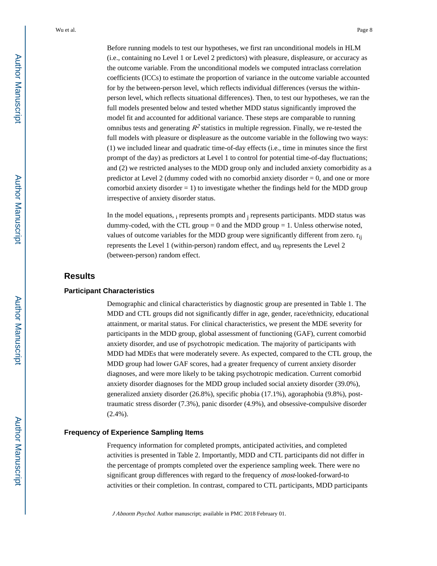Before running models to test our hypotheses, we first ran unconditional models in HLM (i.e., containing no Level 1 or Level 2 predictors) with pleasure, displeasure, or accuracy as the outcome variable. From the unconditional models we computed intraclass correlation coefficients (ICCs) to estimate the proportion of variance in the outcome variable accounted for by the between-person level, which reflects individual differences (versus the withinperson level, which reflects situational differences). Then, to test our hypotheses, we ran the full models presented below and tested whether MDD status significantly improved the model fit and accounted for additional variance. These steps are comparable to running omnibus tests and generating  $R^2$  statistics in multiple regression. Finally, we re-tested the full models with pleasure or displeasure as the outcome variable in the following two ways: (1) we included linear and quadratic time-of-day effects (i.e., time in minutes since the first prompt of the day) as predictors at Level 1 to control for potential time-of-day fluctuations; and (2) we restricted analyses to the MDD group only and included anxiety comorbidity as a predictor at Level 2 (dummy coded with no comorbid anxiety disorder = 0, and one or more comorbid anxiety disorder  $= 1$ ) to investigate whether the findings held for the MDD group irrespective of anxiety disorder status.

In the model equations,  $\frac{1}{i}$  represents prompts and  $\frac{1}{i}$  represents participants. MDD status was dummy-coded, with the CTL group  $= 0$  and the MDD group  $= 1$ . Unless otherwise noted, values of outcome variables for the MDD group were significantly different from zero. r<sub>ij</sub> represents the Level 1 (within-person) random effect, and  $u_{0i}$  represents the Level 2 (between-person) random effect.

## **Results**

#### **Participant Characteristics**

Demographic and clinical characteristics by diagnostic group are presented in Table 1. The MDD and CTL groups did not significantly differ in age, gender, race/ethnicity, educational attainment, or marital status. For clinical characteristics, we present the MDE severity for participants in the MDD group, global assessment of functioning (GAF), current comorbid anxiety disorder, and use of psychotropic medication. The majority of participants with MDD had MDEs that were moderately severe. As expected, compared to the CTL group, the MDD group had lower GAF scores, had a greater frequency of current anxiety disorder diagnoses, and were more likely to be taking psychotropic medication. Current comorbid anxiety disorder diagnoses for the MDD group included social anxiety disorder (39.0%), generalized anxiety disorder (26.8%), specific phobia (17.1%), agoraphobia (9.8%), posttraumatic stress disorder (7.3%), panic disorder (4.9%), and obsessive-compulsive disorder (2.4%).

## **Frequency of Experience Sampling Items**

Frequency information for completed prompts, anticipated activities, and completed activities is presented in Table 2. Importantly, MDD and CTL participants did not differ in the percentage of prompts completed over the experience sampling week. There were no significant group differences with regard to the frequency of most-looked-forward-to activities or their completion. In contrast, compared to CTL participants, MDD participants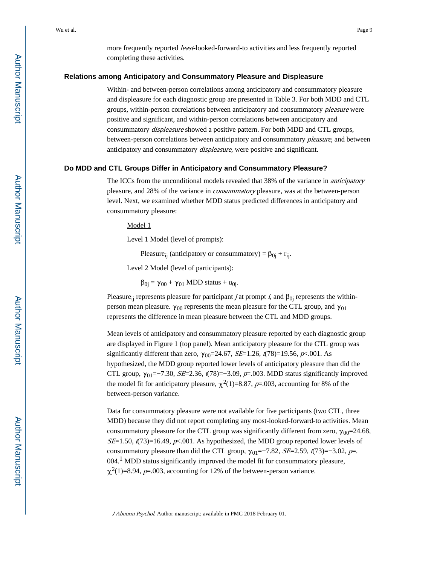more frequently reported *least*-looked-forward-to activities and less frequently reported completing these activities.

#### **Relations among Anticipatory and Consummatory Pleasure and Displeasure**

Within- and between-person correlations among anticipatory and consummatory pleasure and displeasure for each diagnostic group are presented in Table 3. For both MDD and CTL groups, within-person correlations between anticipatory and consummatory *pleasure* were positive and significant, and within-person correlations between anticipatory and consummatory displeasure showed a positive pattern. For both MDD and CTL groups, between-person correlations between anticipatory and consummatory pleasure, and between anticipatory and consummatory displeasure, were positive and significant.

#### **Do MDD and CTL Groups Differ in Anticipatory and Consummatory Pleasure?**

The ICCs from the unconditional models revealed that 38% of the variance in *anticipatory* pleasure, and 28% of the variance in consummatory pleasure, was at the between-person level. Next, we examined whether MDD status predicted differences in anticipatory and consummatory pleasure:

#### Model 1

Level 1 Model (level of prompts):

Pleasure<sub>ij</sub> (anticipatory or consummatory) =  $\beta_{0j} + r_{ij}$ .

Level 2 Model (level of participants):

 $\beta_{0j} = \gamma_{00} + \gamma_{01}$  MDD status + u<sub>0j</sub>.

Pleasure<sub>ij</sub> represents pleasure for participant *j* at prompt *i*, and  $\beta_{0i}$  represents the withinperson mean pleasure.  $γ_{00}$  represents the mean pleasure for the CTL group, and  $γ_{01}$ represents the difference in mean pleasure between the CTL and MDD groups.

Mean levels of anticipatory and consummatory pleasure reported by each diagnostic group are displayed in Figure 1 (top panel). Mean anticipatory pleasure for the CTL group was significantly different than zero,  $\gamma_{00}$ =24.67, *SE*=1.26,  $t(78)$ =19.56,  $p<.001$ . As hypothesized, the MDD group reported lower levels of anticipatory pleasure than did the CTL group,  $\gamma_{01}$ =−7.30, SE=2.36, t(78)=−3.09, p=.003. MDD status significantly improved the model fit for anticipatory pleasure,  $\chi^2(1)=8.87$ ,  $p=.003$ , accounting for 8% of the between-person variance.

Data for consummatory pleasure were not available for five participants (two CTL, three MDD) because they did not report completing any most-looked-forward-to activities. Mean consummatory pleasure for the CTL group was significantly different from zero,  $\gamma_{00}$ =24.68,  $SE=1.50$ ,  $\zeta(73)=16.49$ ,  $p\lt 0.001$ . As hypothesized, the MDD group reported lower levels of consummatory pleasure than did the CTL group,  $\gamma_{01}$ =−7.82, SE=2.59, t(73)=−3.02, p=.  $004<sup>1</sup>$  MDD status significantly improved the model fit for consummatory pleasure,  $\chi^2(1)=8.94$ ,  $p=.003$ , accounting for 12% of the between-person variance.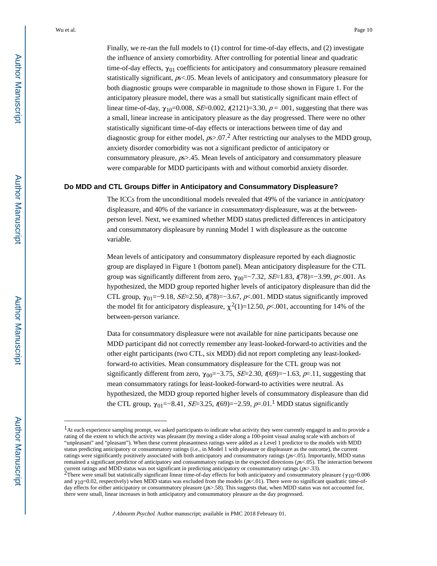Finally, we re-ran the full models to (1) control for time-of-day effects, and (2) investigate the influence of anxiety comorbidity. After controlling for potential linear and quadratic time-of-day effects,  $\gamma_{01}$  coefficients for anticipatory and consummatory pleasure remained statistically significant, ps<.05. Mean levels of anticipatory and consummatory pleasure for both diagnostic groups were comparable in magnitude to those shown in Figure 1. For the anticipatory pleasure model, there was a small but statistically significant main effect of linear time-of-day,  $\gamma_{10}$ =0.008, SE=0.002, t(2121)=3.30, p = .001, suggesting that there was a small, linear increase in anticipatory pleasure as the day progressed. There were no other statistically significant time-of-day effects or interactions between time of day and diagnostic group for either model,  $p \gtrsim 0.07$ .<sup>2</sup> After restricting our analyses to the MDD group, anxiety disorder comorbidity was not a significant predictor of anticipatory or consummatory pleasure,  $ps > .45$ . Mean levels of anticipatory and consummatory pleasure were comparable for MDD participants with and without comorbid anxiety disorder.

#### **Do MDD and CTL Groups Differ in Anticipatory and Consummatory Displeasure?**

The ICCs from the unconditional models revealed that 49% of the variance in anticipatory displeasure, and 40% of the variance in consummatory displeasure, was at the betweenperson level. Next, we examined whether MDD status predicted differences in anticipatory and consummatory displeasure by running Model 1 with displeasure as the outcome variable.

Mean levels of anticipatory and consummatory displeasure reported by each diagnostic group are displayed in Figure 1 (bottom panel). Mean anticipatory displeasure for the CTL group was significantly different from zero,  $\gamma_{00}$ =−7.32, *SE*=1.83, t(78)=−3.99, p<.001. As hypothesized, the MDD group reported higher levels of anticipatory displeasure than did the CTL group,  $\gamma_{01}$ =−9.18, SE=2.50, t(78)=−3.67, p <.001. MDD status significantly improved the model fit for anticipatory displeasure,  $\chi^2(1)=12.50$ ,  $p<.001$ , accounting for 14% of the between-person variance.

Data for consummatory displeasure were not available for nine participants because one MDD participant did not correctly remember any least-looked-forward-to activities and the other eight participants (two CTL, six MDD) did not report completing any least-lookedforward-to activities. Mean consummatory displeasure for the CTL group was not significantly different from zero,  $\gamma_{00}$ =−3.75, SE=2.30, t(69)=−1.63, p=.11, suggesting that mean consummatory ratings for least-looked-forward-to activities were neutral. As hypothesized, the MDD group reported higher levels of consummatory displeasure than did the CTL group,  $\gamma_{01}$ =-8.41, *SE*=3.25,  $t(69)$ =-2.59,  $p=0.01$ .<sup>1</sup> MDD status significantly

<sup>&</sup>lt;sup>1</sup>At each experience sampling prompt, we asked participants to indicate what activity they were currently engaged in and to provide a rating of the extent to which the activity was pleasant (by moving a slider along a 100-point visual analog scale with anchors of "unpleasant" and "pleasant"). When these current pleasantness ratings were added as a Level 1 predictor to the models with MDD status predicting anticipatory or consummatory ratings (i.e., in Model 1 with pleasure or displeasure as the outcome), the current ratings were significantly positively associated with both anticipatory and consummatory ratings (ps<.05). Importantly, MDD status remained a significant predictor of anticipatory and consummatory ratings in the expected directions (ps<.05). The interaction between current ratings and MDD status was not significant in predicting anticipatory or consummatory ratings ( $p \approx 33$ ).<br><sup>2</sup>There were small but statistically significant linear time-of-day effects for both anticipatory and cons

and  $\gamma_{10}=0.02$ , respectively) when MDD status was excluded from the models ( $p \le 0.01$ ). There were no significant quadratic time-ofday effects for either anticipatory or consummatory pleasure  $(p \gg 0.58)$ . This suggests that, when MDD status was not accounted for, there were small, linear increases in both anticipatory and consummatory pleasure as the day progressed.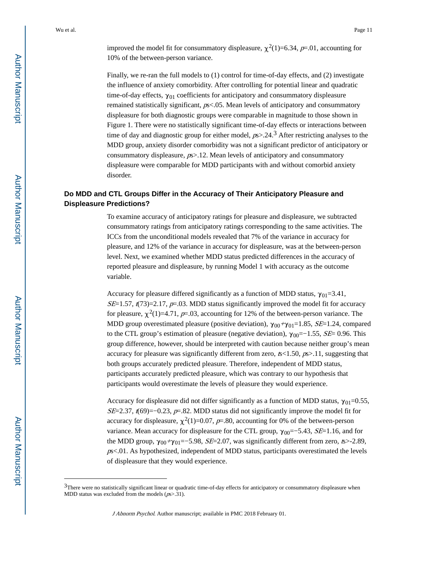improved the model fit for consummatory displeasure,  $\chi^2(1)=6.34$ ,  $p=.01$ , accounting for 10% of the between-person variance.

Finally, we re-ran the full models to (1) control for time-of-day effects, and (2) investigate the influence of anxiety comorbidity. After controlling for potential linear and quadratic time-of-day effects,  $\gamma_{01}$  coefficients for anticipatory and consummatory displeasure remained statistically significant,  $p<0.05$ . Mean levels of anticipatory and consummatory displeasure for both diagnostic groups were comparable in magnitude to those shown in Figure 1. There were no statistically significant time-of-day effects or interactions between time of day and diagnostic group for either model,  $p \ge 24$ .<sup>3</sup> After restricting analyses to the MDD group, anxiety disorder comorbidity was not a significant predictor of anticipatory or consummatory displeasure,  $p \ge 12$ . Mean levels of anticipatory and consummatory displeasure were comparable for MDD participants with and without comorbid anxiety disorder.

## **Do MDD and CTL Groups Differ in the Accuracy of Their Anticipatory Pleasure and Displeasure Predictions?**

To examine accuracy of anticipatory ratings for pleasure and displeasure, we subtracted consummatory ratings from anticipatory ratings corresponding to the same activities. The ICCs from the unconditional models revealed that 7% of the variance in accuracy for pleasure, and 12% of the variance in accuracy for displeasure, was at the between-person level. Next, we examined whether MDD status predicted differences in the accuracy of reported pleasure and displeasure, by running Model 1 with accuracy as the outcome variable.

Accuracy for pleasure differed significantly as a function of MDD status,  $\gamma_{01}$ =3.41,  $SE=1.57$ ,  $\zeta(73)=2.17$ ,  $p=.03$ . MDD status significantly improved the model fit for accuracy for pleasure,  $\chi^2(1)=4.71$ ,  $p=.03$ , accounting for 12% of the between-person variance. The MDD group overestimated pleasure (positive deviation),  $\gamma_{00} + \gamma_{01} = 1.85$ , SE=1.24, compared to the CTL group's estimation of pleasure (negative deviation),  $\gamma_{00}$ =−1.55, *SE*= 0.96. This group difference, however, should be interpreted with caution because neither group's mean accuracy for pleasure was significantly different from zero,  $t \le 1.50$ ,  $p \ge 11$ , suggesting that both groups accurately predicted pleasure. Therefore, independent of MDD status, participants accurately predicted pleasure, which was contrary to our hypothesis that participants would overestimate the levels of pleasure they would experience.

Accuracy for displeasure did not differ significantly as a function of MDD status,  $\gamma_{01}$ =0.55, SE=2.37,  $t(69)=-0.23$ ,  $p=.82$ . MDD status did not significantly improve the model fit for accuracy for displeasure,  $\chi^2(1)=0.07$ ,  $p=.80$ , accounting for 0% of the between-person variance. Mean accuracy for displeasure for the CTL group,  $\gamma_{00}$ =−5.43, SE=1.16, and for the MDD group,  $\gamma_{00}+\gamma_{01}=-5.98$ , SE=2.07, was significantly different from zero, ts>-2.89,  $p<sub>s</sub>$  As hypothesized, independent of MDD status, participants overestimated the levels of displeasure that they would experience.

<sup>&</sup>lt;sup>3</sup>There were no statistically significant linear or quadratic time-of-day effects for anticipatory or consummatory displeasure when MDD status was excluded from the models  $(p s > .31)$ .

J Abnorm Psychol. Author manuscript; available in PMC 2018 February 01.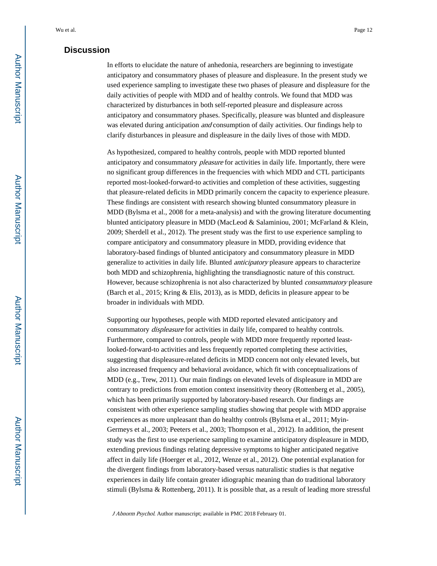## **Discussion**

In efforts to elucidate the nature of anhedonia, researchers are beginning to investigate anticipatory and consummatory phases of pleasure and displeasure. In the present study we used experience sampling to investigate these two phases of pleasure and displeasure for the daily activities of people with MDD and of healthy controls. We found that MDD was characterized by disturbances in both self-reported pleasure and displeasure across anticipatory and consummatory phases. Specifically, pleasure was blunted and displeasure was elevated during anticipation and consumption of daily activities. Our findings help to clarify disturbances in pleasure and displeasure in the daily lives of those with MDD.

As hypothesized, compared to healthy controls, people with MDD reported blunted anticipatory and consummatory *pleasure* for activities in daily life. Importantly, there were no significant group differences in the frequencies with which MDD and CTL participants reported most-looked-forward-to activities and completion of these activities, suggesting that pleasure-related deficits in MDD primarily concern the capacity to experience pleasure. These findings are consistent with research showing blunted consummatory pleasure in MDD (Bylsma et al., 2008 for a meta-analysis) and with the growing literature documenting blunted anticipatory pleasure in MDD (MacLeod & Salaminiou, 2001; McFarland & Klein, 2009; Sherdell et al., 2012). The present study was the first to use experience sampling to compare anticipatory and consummatory pleasure in MDD, providing evidence that laboratory-based findings of blunted anticipatory and consummatory pleasure in MDD generalize to activities in daily life. Blunted anticipatory pleasure appears to characterize both MDD and schizophrenia, highlighting the transdiagnostic nature of this construct. However, because schizophrenia is not also characterized by blunted *consummatory* pleasure (Barch et al., 2015; Kring & Elis, 2013), as is MDD, deficits in pleasure appear to be broader in individuals with MDD.

Supporting our hypotheses, people with MDD reported elevated anticipatory and consummatory displeasure for activities in daily life, compared to healthy controls. Furthermore, compared to controls, people with MDD more frequently reported leastlooked-forward-to activities and less frequently reported completing these activities, suggesting that displeasure-related deficits in MDD concern not only elevated levels, but also increased frequency and behavioral avoidance, which fit with conceptualizations of MDD (e.g., Trew, 2011). Our main findings on elevated levels of displeasure in MDD are contrary to predictions from emotion context insensitivity theory (Rottenberg et al., 2005), which has been primarily supported by laboratory-based research. Our findings are consistent with other experience sampling studies showing that people with MDD appraise experiences as more unpleasant than do healthy controls (Bylsma et al., 2011; Myin-Germeys et al., 2003; Peeters et al., 2003; Thompson et al., 2012). In addition, the present study was the first to use experience sampling to examine anticipatory displeasure in MDD, extending previous findings relating depressive symptoms to higher anticipated negative affect in daily life (Hoerger et al., 2012, Wenze et al., 2012). One potential explanation for the divergent findings from laboratory-based versus naturalistic studies is that negative experiences in daily life contain greater idiographic meaning than do traditional laboratory stimuli (Bylsma & Rottenberg, 2011). It is possible that, as a result of leading more stressful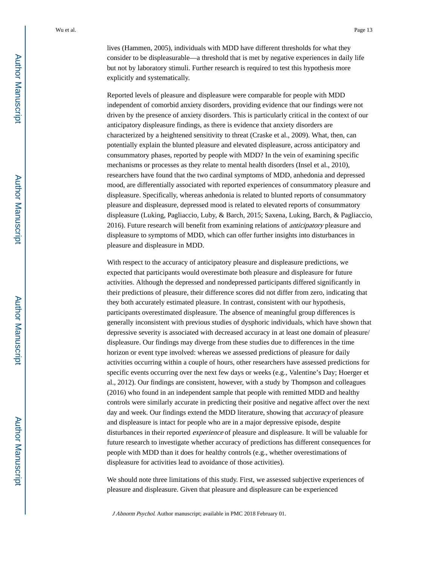lives (Hammen, 2005), individuals with MDD have different thresholds for what they consider to be displeasurable—a threshold that is met by negative experiences in daily life but not by laboratory stimuli. Further research is required to test this hypothesis more explicitly and systematically.

Reported levels of pleasure and displeasure were comparable for people with MDD independent of comorbid anxiety disorders, providing evidence that our findings were not driven by the presence of anxiety disorders. This is particularly critical in the context of our anticipatory displeasure findings, as there is evidence that anxiety disorders are characterized by a heightened sensitivity to threat (Craske et al., 2009). What, then, can potentially explain the blunted pleasure and elevated displeasure, across anticipatory and consummatory phases, reported by people with MDD? In the vein of examining specific mechanisms or processes as they relate to mental health disorders (Insel et al., 2010), researchers have found that the two cardinal symptoms of MDD, anhedonia and depressed mood, are differentially associated with reported experiences of consummatory pleasure and displeasure. Specifically, whereas anhedonia is related to blunted reports of consummatory pleasure and displeasure, depressed mood is related to elevated reports of consummatory displeasure (Luking, Pagliaccio, Luby, & Barch, 2015; Saxena, Luking, Barch, & Pagliaccio, 2016). Future research will benefit from examining relations of anticipatory pleasure and displeasure to symptoms of MDD, which can offer further insights into disturbances in pleasure and displeasure in MDD.

With respect to the accuracy of anticipatory pleasure and displeasure predictions, we expected that participants would overestimate both pleasure and displeasure for future activities. Although the depressed and nondepressed participants differed significantly in their predictions of pleasure, their difference scores did not differ from zero, indicating that they both accurately estimated pleasure. In contrast, consistent with our hypothesis, participants overestimated displeasure. The absence of meaningful group differences is generally inconsistent with previous studies of dysphoric individuals, which have shown that depressive severity is associated with decreased accuracy in at least one domain of pleasure/ displeasure. Our findings may diverge from these studies due to differences in the time horizon or event type involved: whereas we assessed predictions of pleasure for daily activities occurring within a couple of hours, other researchers have assessed predictions for specific events occurring over the next few days or weeks (e.g., Valentine's Day; Hoerger et al., 2012). Our findings are consistent, however, with a study by Thompson and colleagues (2016) who found in an independent sample that people with remitted MDD and healthy controls were similarly accurate in predicting their positive and negative affect over the next day and week. Our findings extend the MDD literature, showing that *accuracy* of pleasure and displeasure is intact for people who are in a major depressive episode, despite disturbances in their reported experience of pleasure and displeasure. It will be valuable for future research to investigate whether accuracy of predictions has different consequences for people with MDD than it does for healthy controls (e.g., whether overestimations of displeasure for activities lead to avoidance of those activities).

We should note three limitations of this study. First, we assessed subjective experiences of pleasure and displeasure. Given that pleasure and displeasure can be experienced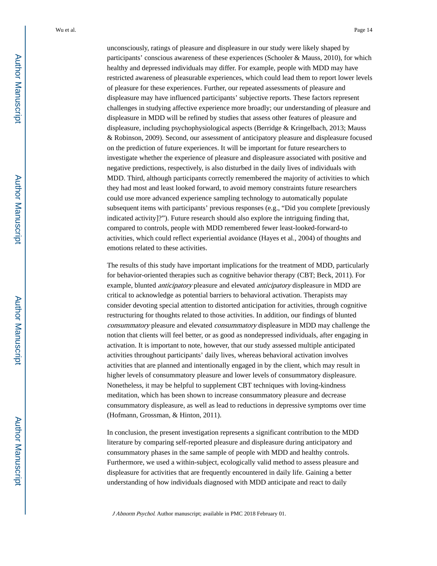unconsciously, ratings of pleasure and displeasure in our study were likely shaped by participants' conscious awareness of these experiences (Schooler & Mauss, 2010), for which healthy and depressed individuals may differ. For example, people with MDD may have restricted awareness of pleasurable experiences, which could lead them to report lower levels of pleasure for these experiences. Further, our repeated assessments of pleasure and displeasure may have influenced participants' subjective reports. These factors represent challenges in studying affective experience more broadly; our understanding of pleasure and displeasure in MDD will be refined by studies that assess other features of pleasure and displeasure, including psychophysiological aspects (Berridge & Kringelbach, 2013; Mauss & Robinson, 2009). Second, our assessment of anticipatory pleasure and displeasure focused on the prediction of future experiences. It will be important for future researchers to investigate whether the experience of pleasure and displeasure associated with positive and negative predictions, respectively, is also disturbed in the daily lives of individuals with MDD. Third, although participants correctly remembered the majority of activities to which they had most and least looked forward, to avoid memory constraints future researchers could use more advanced experience sampling technology to automatically populate subsequent items with participants' previous responses (e.g., "Did you complete [previously indicated activity]?"). Future research should also explore the intriguing finding that, compared to controls, people with MDD remembered fewer least-looked-forward-to activities, which could reflect experiential avoidance (Hayes et al., 2004) of thoughts and emotions related to these activities.

The results of this study have important implications for the treatment of MDD, particularly for behavior-oriented therapies such as cognitive behavior therapy (CBT; Beck, 2011). For example, blunted *anticipatory* pleasure and elevated *anticipatory* displeasure in MDD are critical to acknowledge as potential barriers to behavioral activation. Therapists may consider devoting special attention to distorted anticipation for activities, through cognitive restructuring for thoughts related to those activities. In addition, our findings of blunted consummatory pleasure and elevated consummatory displeasure in MDD may challenge the notion that clients will feel better, or as good as nondepressed individuals, after engaging in activation. It is important to note, however, that our study assessed multiple anticipated activities throughout participants' daily lives, whereas behavioral activation involves activities that are planned and intentionally engaged in by the client, which may result in higher levels of consummatory pleasure and lower levels of consummatory displeasure. Nonetheless, it may be helpful to supplement CBT techniques with loving-kindness meditation, which has been shown to increase consummatory pleasure and decrease consummatory displeasure, as well as lead to reductions in depressive symptoms over time (Hofmann, Grossman, & Hinton, 2011).

In conclusion, the present investigation represents a significant contribution to the MDD literature by comparing self-reported pleasure and displeasure during anticipatory and consummatory phases in the same sample of people with MDD and healthy controls. Furthermore, we used a within-subject, ecologically valid method to assess pleasure and displeasure for activities that are frequently encountered in daily life. Gaining a better understanding of how individuals diagnosed with MDD anticipate and react to daily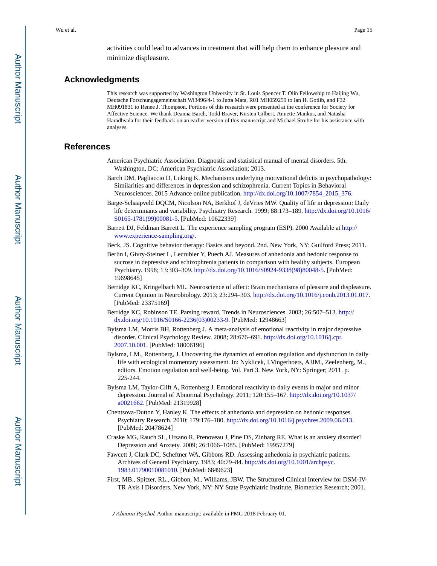activities could lead to advances in treatment that will help them to enhance pleasure and minimize displeasure.

## **Acknowledgments**

This research was supported by Washington University in St. Louis Spencer T. Olin Fellowship to Haijing Wu, Deutsche Forschungsgemeinschaft Wi3496/4-1 to Jutta Mata, R01 MH059259 to Ian H. Gotlib, and F32 MH091831 to Renee J. Thompson. Portions of this research were presented at the conference for Society for Affective Science. We thank Deanna Barch, Todd Braver, Kirsten Gilbert, Annette Mankus, and Natasha Haradhvala for their feedback on an earlier version of this manuscript and Michael Strube for his assistance with analyses.

## **References**

- American Psychiatric Association. Diagnostic and statistical manual of mental disorders. 5th. Washington, DC: American Psychiatric Association; 2013.
- Barch DM, Pagliaccio D, Luking K. Mechanisms underlying motivational deficits in psychopathology: Similarities and differences in depression and schizophrenia. Current Topics in Behavioral Neurosciences. 2015 Advance online publication. [http://dx.doi.org/10.1007/7854\\_2015\\_376](http://dx.doi.org/10.1007/7854_2015_376).
- Barge-Schaapveld DQCM, Nicolson NA, Berkhof J, deVries MW. Quality of life in depression: Daily life determinants and variability. Psychiatry Research. 1999; 88:173–189. [http://dx.doi.org/10.1016/](http://dx.doi.org/10.1016/S0165-1781(99)00081-5) [S0165-1781\(99\)00081-5.](http://dx.doi.org/10.1016/S0165-1781(99)00081-5) [PubMed: 10622339]
- Barrett DJ, Feldman Barrett L. The experience sampling program (ESP). 2000 Available at [http://](http://www.experience-sampling.org/) [www.experience-sampling.org/.](http://www.experience-sampling.org/)
- Beck, JS. Cognitive behavior therapy: Basics and beyond. 2nd. New York, NY: Guilford Press; 2011.
- Berlin I, Givry-Steiner L, Lecrubier Y, Puech AJ. Measures of anhedonia and hedonic response to sucrose in depressive and schizophrenia patients in comparison with healthy subjects. European Psychiatry. 1998; 13:303–309. [http://dx.doi.org/10.1016/S0924-9338\(98\)80048-5.](http://dx.doi.org/10.1016/S0924-9338(98)80048-5) [PubMed: 19698645]
- Berridge KC, Kringelbach ML. Neuroscience of affect: Brain mechanisms of pleasure and displeasure. Current Opinion in Neurobiology. 2013; 23:294–303. [http://dx.doi.org/10.1016/j.conb.2013.01.017.](http://dx.doi.org/10.1016/j.conb.2013.01.017) [PubMed: 23375169]
- Berridge KC, Robinson TE. Parsing reward. Trends in Neurosciences. 2003; 26:507–513. [http://](http://dx.doi.org/10.1016/S0166-2236(03)00233-9) [dx.doi.org/10.1016/S0166-2236\(03\)00233-9](http://dx.doi.org/10.1016/S0166-2236(03)00233-9). [PubMed: 12948663]
- Bylsma LM, Morris BH, Rottenberg J. A meta-analysis of emotional reactivity in major depressive disorder. Clinical Psychology Review. 2008; 28:676–691. [http://dx.doi.org/10.1016/j.cpr.](http://dx.doi.org/10.1016/j.cpr.2007.10.001) [2007.10.001](http://dx.doi.org/10.1016/j.cpr.2007.10.001). [PubMed: 18006196]
- Bylsma, LM., Rottenberg, J. Uncovering the dynamics of emotion regulation and dysfunction in daily life with ecological momentary assessment. In: Nyklicek, I.Vingerhoets, AJJM., Zeelenberg, M., editors. Emotion regulation and well-being. Vol. Part 3. New York, NY: Springer; 2011. p. 225-244.
- Bylsma LM, Taylor-Clift A, Rottenberg J. Emotional reactivity to daily events in major and minor depression. Journal of Abnormal Psychology. 2011; 120:155–167. [http://dx.doi.org/10.1037/](http://dx.doi.org/10.1037/a0021662) [a0021662](http://dx.doi.org/10.1037/a0021662). [PubMed: 21319928]
- Chentsova-Dutton Y, Hanley K. The effects of anhedonia and depression on hedonic responses. Psychiatry Research. 2010; 179:176–180. [http://dx.doi.org/10.1016/j.psychres.2009.06.013.](http://dx.doi.org/10.1016/j.psychres.2009.06.013) [PubMed: 20478624]
- Craske MG, Rauch SL, Ursano R, Prenoveau J, Pine DS, Zinbarg RE. What is an anxiety disorder? Depression and Anxiety. 2009; 26:1066–1085. [PubMed: 19957279]
- Fawcett J, Clark DC, Scheftner WA, Gibbons RD. Assessing anhedonia in psychiatric patients. Archives of General Psychiatry. 1983; 40:79–84. [http://dx.doi.org/10.1001/archpsyc.](http://dx.doi.org/10.1001/archpsyc.1983.01790010081010) [1983.01790010081010](http://dx.doi.org/10.1001/archpsyc.1983.01790010081010). [PubMed: 6849623]
- First, MB., Spitzer, RL., Gibbon, M., Williams, JBW. The Structured Clinical Interview for DSM-IV-TR Axis I Disorders. New York, NY: NY State Psychiatric Institute, Biometrics Research; 2001.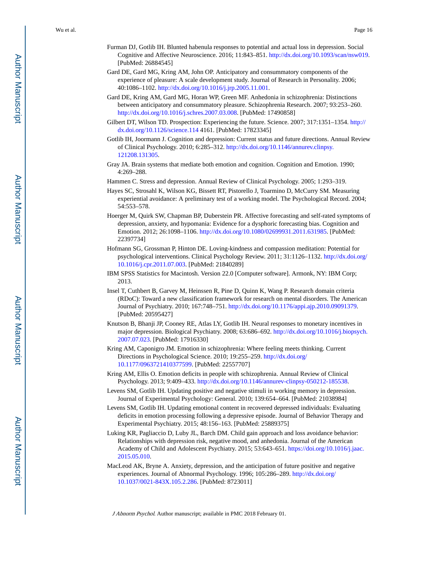- Furman DJ, Gotlib IH. Blunted habenula responses to potential and actual loss in depression. Social Cognitive and Affective Neuroscience. 2016; 11:843–851.<http://dx.doi.org/10.1093/scan/nsw019>. [PubMed: 26884545]
- Gard DE, Gard MG, Kring AM, John OP. Anticipatory and consummatory components of the experience of pleasure: A scale development study. Journal of Research in Personality. 2006; 40:1086–1102. <http://dx.doi.org/10.1016/j.jrp.2005.11.001>.
- Gard DE, Kring AM, Gard MG, Horan WP, Green MF. Anhedonia in schizophrenia: Distinctions between anticipatory and consummatory pleasure. Schizophrenia Research. 2007; 93:253–260. <http://dx.doi.org/10.1016/j.schres.2007.03.008>. [PubMed: 17490858]
- Gilbert DT, Wilson TD. Prospection: Experiencing the future. Science. 2007; 317:1351–1354. [http://](http://dx.doi.org/10.1126/science.114) [dx.doi.org/10.1126/science.114](http://dx.doi.org/10.1126/science.114) 4161. [PubMed: 17823345]
- Gotlib IH, Joormann J. Cognition and depression: Current status and future directions. Annual Review of Clinical Psychology. 2010; 6:285–312. [http://dx.doi.org/10.1146/annurev.clinpsy.](http://dx.doi.org/10.1146/annurev.clinpsy.121208.131305) [121208.131305](http://dx.doi.org/10.1146/annurev.clinpsy.121208.131305).
- Gray JA. Brain systems that mediate both emotion and cognition. Cognition and Emotion. 1990; 4:269–288.
- Hammen C. Stress and depression. Annual Review of Clinical Psychology. 2005; 1:293–319.
- Hayes SC, Strosahl K, Wilson KG, Bissett RT, Pistorello J, Toarmino D, McCurry SM. Measuring experiential avoidance: A preliminary test of a working model. The Psychological Record. 2004; 54:553–578.
- Hoerger M, Quirk SW, Chapman BP, Duberstein PR. Affective forecasting and self-rated symptoms of depression, anxiety, and hypomania: Evidence for a dysphoric forecasting bias. Cognition and Emotion. 2012; 26:1098–1106. [http://dx.doi.org/10.1080/02699931.2011.631985.](http://dx.doi.org/10.1080/02699931.2011.631985) [PubMed: 22397734]
- Hofmann SG, Grossman P, Hinton DE. Loving-kindness and compassion meditation: Potential for psychological interventions. Clinical Psychology Review. 2011; 31:1126–1132. [http://dx.doi.org/](http://dx.doi.org/10.1016/j.cpr.2011.07.003) [10.1016/j.cpr.2011.07.003.](http://dx.doi.org/10.1016/j.cpr.2011.07.003) [PubMed: 21840289]
- IBM SPSS Statistics for Macintosh. Version 22.0 [Computer software]. Armonk, NY: IBM Corp; 2013.
- Insel T, Cuthbert B, Garvey M, Heinssen R, Pine D, Quinn K, Wang P. Research domain criteria (RDoC): Toward a new classification framework for research on mental disorders. The American Journal of Psychiatry. 2010; 167:748–751.<http://dx.doi.org/10.1176/appi.ajp.2010.09091379>. [PubMed: 20595427]
- Knutson B, Bhanji JP, Cooney RE, Atlas LY, Gotlib IH. Neural responses to monetary incentives in major depression. Biological Psychiatry. 2008; 63:686–692. [http://dx.doi.org/10.1016/j.biopsych.](http://dx.doi.org/10.1016/j.biopsych.2007.07.023) [2007.07.023.](http://dx.doi.org/10.1016/j.biopsych.2007.07.023) [PubMed: 17916330]
- Kring AM, Caponigro JM. Emotion in schizophrenia: Where feeling meets thinking. Current Directions in Psychological Science. 2010; 19:255–259. [http://dx.doi.org/](http://dx.doi.org/10.1177/0963721410377599) [10.1177/0963721410377599.](http://dx.doi.org/10.1177/0963721410377599) [PubMed: 22557707]
- Kring AM, Ellis O. Emotion deficits in people with schizophrenia. Annual Review of Clinical Psychology. 2013; 9:409–433. <http://dx.doi.org/10.1146/annurev-clinpsy-050212-185538>.
- Levens SM, Gotlib IH. Updating positive and negative stimuli in working memory in depression. Journal of Experimental Psychology: General. 2010; 139:654–664. [PubMed: 21038984]
- Levens SM, Gotlib IH. Updating emotional content in recovered depressed individuals: Evaluating deficits in emotion processing following a depressive episode. Journal of Behavior Therapy and Experimental Psychiatry. 2015; 48:156–163. [PubMed: 25889375]
- Luking KR, Pagliaccio D, Luby JL, Barch DM. Child gain approach and loss avoidance behavior: Relationships with depression risk, negative mood, and anhedonia. Journal of the American Academy of Child and Adolescent Psychiatry. 2015; 53:643–651. [https://doi.org/10.1016/j.jaac.](https://doi.org/10.1016/j.jaac.2015.05.010) [2015.05.010.](https://doi.org/10.1016/j.jaac.2015.05.010)
- MacLeod AK, Bryne A. Anxiety, depression, and the anticipation of future positive and negative experiences. Journal of Abnormal Psychology. 1996; 105:286–289. [http://dx.doi.org/](http://dx.doi.org/10.1037/0021-843X.105.2.286) [10.1037/0021-843X.105.2.286.](http://dx.doi.org/10.1037/0021-843X.105.2.286) [PubMed: 8723011]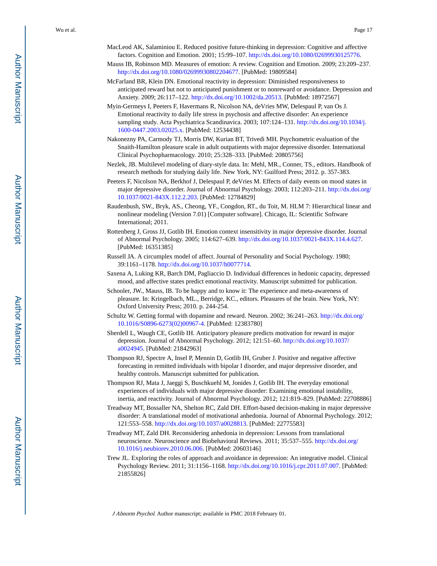- MacLeod AK, Salaminiou E. Reduced positive future-thinking in depression: Cognitive and affective factors. Cognition and Emotion. 2001; 15:99–107. <http://dx.doi.org/10.1080/02699930125776>.
- Mauss IB, Robinson MD. Measures of emotion: A review. Cognition and Emotion. 2009; 23:209–237. <http://dx.doi.org/10.1080/02699930802204677>. [PubMed: 19809584]
- McFarland BR, Klein DN. Emotional reactivity in depression: Diminished responsiveness to anticipated reward but not to anticipated punishment or to nonreward or avoidance. Depression and Anxiety. 2009; 26:117–122.<http://dx.doi.org/10.1002/da.20513>. [PubMed: 18972567]
- Myin-Germeys I, Peeters F, Havermans R, Nicolson NA, deVries MW, Delespaul P, van Os J. Emotional reactivity to daily life stress in psychosis and affective disorder: An experience sampling study. Acta Psychiatrica Scandinavica. 2003; 107:124–131. [http://dx.doi.org/10.1034/j.](http://dx.doi.org/10.1034/j.1600-0447.2003.02025.x) [1600-0447.2003.02025.x.](http://dx.doi.org/10.1034/j.1600-0447.2003.02025.x) [PubMed: 12534438]
- Nakonezny PA, Carmody TJ, Morris DW, Kurian BT, Trivedi MH. Psychometric evaluation of the Snaith-Hamilton pleasure scale in adult outpatients with major depressive disorder. International Clinical Psychopharmacology. 2010; 25:328–333. [PubMed: 20805756]
- Nezlek, JB. Multilevel modeling of diary-style data. In: Mehl, MR., Conner, TS., editors. Handbook of research methods for studying daily life. New York, NY: Guilford Press; 2012. p. 357-383.
- Peeters F, Nicolson NA, Berkhof J, Delespaul P, deVries M. Effects of daily events on mood states in major depressive disorder. Journal of Abnormal Psychology. 2003; 112:203–211. [http://dx.doi.org/](http://dx.doi.org/10.1037/0021-843X.112.2.203) [10.1037/0021-843X.112.2.203.](http://dx.doi.org/10.1037/0021-843X.112.2.203) [PubMed: 12784829]
- Raudenbush, SW., Bryk, AS., Cheong, YF., Congdon, RT., du Toit, M. HLM 7: Hierarchical linear and nonlinear modeling (Version 7.01) [Computer software]. Chicago, IL: Scientific Software International; 2011.
- Rottenberg J, Gross JJ, Gotlib IH. Emotion context insensitivity in major depressive disorder. Journal of Abnormal Psychology. 2005; 114:627–639.<http://dx.doi.org/10.1037/0021-843X.114.4.627>. [PubMed: 16351385]
- Russell JA. A circumplex model of affect. Journal of Personality and Social Psychology. 1980; 39:1161–1178. <http://dx.doi.org/10.1037/h0077714>.
- Saxena A, Luking KR, Barch DM, Pagliaccio D. Individual differences in hedonic capacity, depressed mood, and affective states predict emotional reactivity. Manuscript submitted for publication.
- Schooler, JW., Mauss, IB. To be happy and to know it: The experience and meta-awareness of pleasure. In: Kringelbach, ML., Berridge, KC., editors. Pleasures of the brain. New York, NY: Oxford University Press; 2010. p. 244-254.
- Schultz W. Getting formal with dopamine and reward. Neuron. 2002; 36:241–263. [http://dx.doi.org/](http://dx.doi.org/10.1016/S0896-6273(02)00967-4) [10.1016/S0896-6273\(02\)00967-4.](http://dx.doi.org/10.1016/S0896-6273(02)00967-4) [PubMed: 12383780]
- Sherdell L, Waugh CE, Gotlib IH. Anticipatory pleasure predicts motivation for reward in major depression. Journal of Abnormal Psychology. 2012; 121:51–60. [http://dx.doi.org/10.1037/](http://dx.doi.org/10.1037/a0024945) [a0024945](http://dx.doi.org/10.1037/a0024945). [PubMed: 21842963]
- Thompson RJ, Spectre A, Insel P, Mennin D, Gotlib IH, Gruber J. Positive and negative affective forecasting in remitted individuals with bipolar I disorder, and major depressive disorder, and healthy controls. Manuscript submitted for publication.
- Thompson RJ, Mata J, Jaeggi S, Buschkuehl M, Jonides J, Gotlib IH. The everyday emotional experiences of individuals with major depressive disorder: Examining emotional instability, inertia, and reactivity. Journal of Abnormal Psychology. 2012; 121:819–829. [PubMed: 22708886]
- Treadway MT, Bossaller NA, Shelton RC, Zald DH. Effort-based decision-making in major depressive disorder: A translational model of motivational anhedonia. Journal of Abnormal Psychology. 2012; 121:553–558. <http://dx.doi.org/10.1037/a0028813>. [PubMed: 22775583]
- Treadway MT, Zald DH. Reconsidering anhedonia in depression: Lessons from translational neuroscience. Neuroscience and Biobehavioral Reviews. 2011; 35:537–555. [http://dx.doi.org/](http://dx.doi.org/10.1016/j.neubiorev.2010.06.006) [10.1016/j.neubiorev.2010.06.006.](http://dx.doi.org/10.1016/j.neubiorev.2010.06.006) [PubMed: 20603146]
- Trew JL. Exploring the roles of approach and avoidance in depression: An integrative model. Clinical Psychology Review. 2011; 31:1156–1168.<http://dx.doi.org/10.1016/j.cpr.2011.07.007>. [PubMed: 21855826]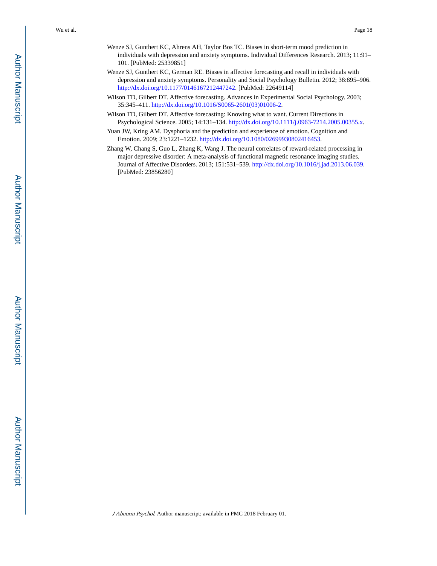- Wenze SJ, Gunthert KC, Ahrens AH, Taylor Bos TC. Biases in short-term mood prediction in individuals with depression and anxiety symptoms. Individual Differences Research. 2013; 11:91– 101. [PubMed: 25339851]
- Wenze SJ, Gunthert KC, German RE. Biases in affective forecasting and recall in individuals with depression and anxiety symptoms. Personality and Social Psychology Bulletin. 2012; 38:895–906. [http://dx.doi.org/10.1177/0146167212447242.](http://dx.doi.org/10.1177/0146167212447242) [PubMed: 22649114]
- Wilson TD, Gilbert DT. Affective forecasting. Advances in Experimental Social Psychology. 2003; 35:345–411. [http://dx.doi.org/10.1016/S0065-2601\(03\)01006-2](http://dx.doi.org/10.1016/S0065-2601(03)01006-2).
- Wilson TD, Gilbert DT. Affective forecasting: Knowing what to want. Current Directions in Psychological Science. 2005; 14:131–134. [http://dx.doi.org/10.1111/j.0963-7214.2005.00355.x.](http://dx.doi.org/10.1111/j.0963-7214.2005.00355.x)
- Yuan JW, Kring AM. Dysphoria and the prediction and experience of emotion. Cognition and Emotion. 2009; 23:1221–1232. [http://dx.doi.org/10.1080/02699930802416453.](http://dx.doi.org/10.1080/02699930802416453)
- Zhang W, Chang S, Guo L, Zhang K, Wang J. The neural correlates of reward-related processing in major depressive disorder: A meta-analysis of functional magnetic resonance imaging studies. Journal of Affective Disorders. 2013; 151:531–539. [http://dx.doi.org/10.1016/j.jad.2013.06.039.](http://dx.doi.org/10.1016/j.jad.2013.06.039) [PubMed: 23856280]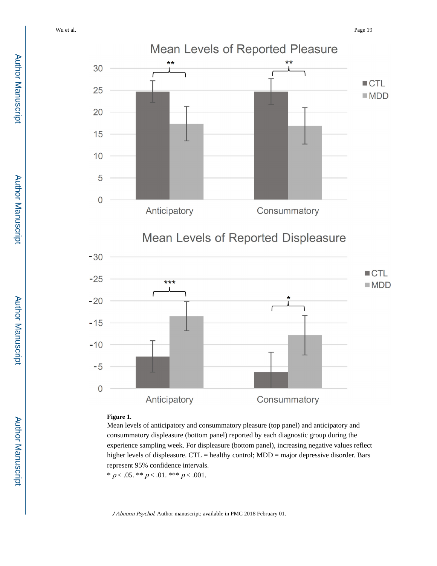

## **Figure 1.**

Mean levels of anticipatory and consummatory pleasure (top panel) and anticipatory and consummatory displeasure (bottom panel) reported by each diagnostic group during the experience sampling week. For displeasure (bottom panel), increasing negative values reflect higher levels of displeasure. CTL = healthy control; MDD = major depressive disorder. Bars represent 95% confidence intervals. \*  $p < .05$ . \*\*  $p < .01$ . \*\*\*  $p < .001$ .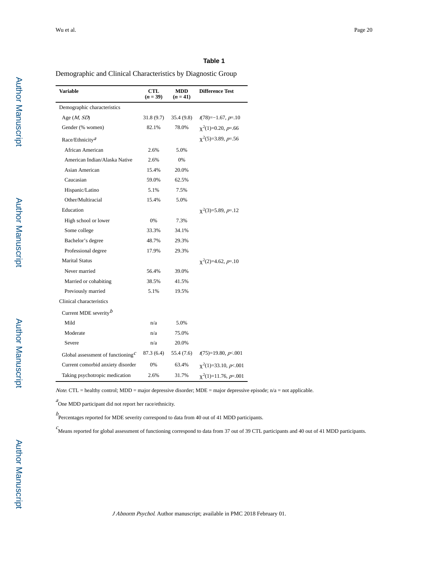## **Table 1**

Demographic and Clinical Characteristics by Diagnostic Group

| <b>Variable</b>                      | <b>CTL</b><br>$(n = 39)$ | <b>MDD</b><br>$(n = 41)$ | <b>Difference Test</b>    |
|--------------------------------------|--------------------------|--------------------------|---------------------------|
| Demographic characteristics          |                          |                          |                           |
| Age $(M, SD)$                        | 31.8(9.7)                | 35.4(9.8)                | $t(78)=-1.67, p=.10$      |
| Gender (% women)                     | 82.1%                    | 78.0%                    | $\chi^2(1)=0.20, p=.66$   |
| Race/Ethnicity <sup>a</sup>          |                          |                          | $\chi^2(5)=3.89, p=.56$   |
| African American                     | 2.6%                     | 5.0%                     |                           |
| American Indian/Alaska Native        | 2.6%                     | 0%                       |                           |
| Asian American                       | 15.4%                    | 20.0%                    |                           |
| Caucasian                            | 59.0%                    | 62.5%                    |                           |
| Hispanic/Latino                      | 5.1%                     | 7.5%                     |                           |
| Other/Multiracial                    | 15.4%                    | 5.0%                     |                           |
| Education                            |                          |                          | $\chi^2(3)=5.89, p=.12$   |
| High school or lower                 | 0%                       | 7.3%                     |                           |
| Some college                         | 33.3%                    | 34.1%                    |                           |
| Bachelor's degree                    | 48.7%                    | 29.3%                    |                           |
| Professional degree                  | 17.9%                    | 29.3%                    |                           |
| <b>Marital Status</b>                |                          |                          | $\chi^2(2)=4.62, p=.10$   |
| Never married                        | 56.4%                    | 39.0%                    |                           |
| Married or cohabiting                | 38.5%                    | 41.5%                    |                           |
| Previously married                   | 5.1%                     | 19.5%                    |                           |
| Clinical characteristics             |                          |                          |                           |
| Current MDE severity $b$             |                          |                          |                           |
| Mild                                 | n/a                      | 5.0%                     |                           |
| Moderate                             | n/a                      | 75.0%                    |                           |
| Severe                               | n/a                      | 20.0%                    |                           |
| Global assessment of functioning $c$ | 87.3 (6.4)               | 55.4 (7.6)               | $t(75)=19.80, p<.001$     |
| Current comorbid anxiety disorder    | 0%                       | 63.4%                    | $\chi^2(1)=33.10, p<.001$ |
| Taking psychotropic medication       | 2.6%                     | 31.7%                    | $\chi^2(1)=11.76, p=.001$ |

Note. CTL = healthy control; MDD = major depressive disorder; MDE = major depressive episode;  $n/a$  = not applicable.

 $a^2$ One MDD participant did not report her race/ethnicity.

b<br>Percentages reported for MDE severity correspond to data from 40 out of 41 MDD participants.

 $c$ Means reported for global assessment of functioning correspond to data from 37 out of 39 CTL participants and 40 out of 41 MDD participants.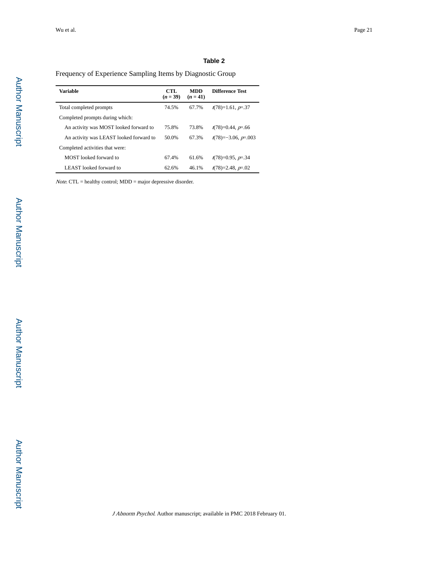## **Table 2**

Frequency of Experience Sampling Items by Diagnostic Group

| Variable                                | CTL<br>$(n = 39)$ | <b>MDD</b><br>$(n = 41)$ | Difference Test           |
|-----------------------------------------|-------------------|--------------------------|---------------------------|
| Total completed prompts                 | 74.5%             | 67 7%                    | $t(78)=1.61, p=.37$       |
| Completed prompts during which:         |                   |                          |                           |
| An activity was MOST looked forward to  | 75.8%             | 73.8%                    | $t(78)=0.44, p=.66$       |
| An activity was LEAST looked forward to | 50.0%             | 67.3%                    | $t(78) = -3.06, p = .003$ |
| Completed activities that were:         |                   |                          |                           |
| MOST looked forward to                  | 67.4%             | 61.6%                    | $t(78)=0.95, p=.34$       |
| LEAST looked forward to                 | 62.6%             | 46.1%                    | $t(78)=2.48, p=.02$       |

 $Note.  $CTL =$  healthy control;  $MDD =$  major depressive disorder.$ 

Wu et al. Page 21